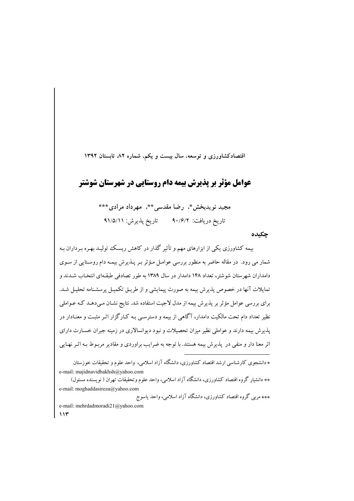اقتصادکشاورزی و توسعه، سال بیست و یکم، شماره ۸۲ تابستان ۱۳۹۲

# عوامل مؤثر بر پذیرش بیمه دام روستایی در شهرستان شوشتر

مجید نویدبخش\*، رضا مقدسے \*\*، مهرداد مرادی\*\*\* تاريخ دريافت: ٩٠/۶/٢ تاريخ پذيرش: ٩١/٥/١١

حكىدە

سِمه کشاورزی یکی از ایزارهای مهم و تأثیر گذار در کاهش ریسک تولیـد بهـره بـرداران بـه شمار می رود. در مقاله حاضر به منظور بررسی عوامـل مـؤثر بـر پـذیرش بیمـه دام روسـتایی از سـوی دامداران شهرستان شوشتر، تعداد ۱۴۸ دامدار در سال ۱۳۸۹ به طور تصادفی طبقـهای انتخـاب شـدند و تمايلات آنها در خصوص يذيرش بيمه به صورت پيمايشي و از طريـق تكميـل پرسشـنامه تحليـل شـد. برای بررسی عوامل مؤثر بر پذیرش بیمه از مدل لاجیت استفاده شد. نتایج نشـان مـیدهـد کـه عـواملی نظیر تعداد دام تحت مالکیت دامدار، آگاهی از بیمه و دسترسبی بـه کـارگزار اثـر مثبـت و معنـادار در یذیرش بیمه دارند و عواملی نظیر میزان تحصیلات و نبود دیوانسالاری در زمینه جبران خسـارت دارای اثر معنا دار و منفی در پذیرش بیمه هستند. با توجه به ضرایب براوردی و مقادیر مربـوط بـه اثـر نهـایی

\* دانشجوی کارشناسی ارشد اقتصاد کشاورزی، دانشگاه آزاد اسلامی، واحد علوم و تحقیقات خوزستان e-mail: majidnavidbakhsh@yahoo.com

\*\* دانشیار گروه اقتصاد کشاورزی، دانشگاه آزاد اسلامی، واحد علوم وتحقیقات تهران ( نویسنده مسئول) e-mail: moghaddasireza@yahoo.com

\*\*\* مربی گروه اقتصاد کشاورزی، دانشگاه آزاد اسلامی، واحد یاسوج e-mail: mehrdadmoradi21@yahoo.com  $115$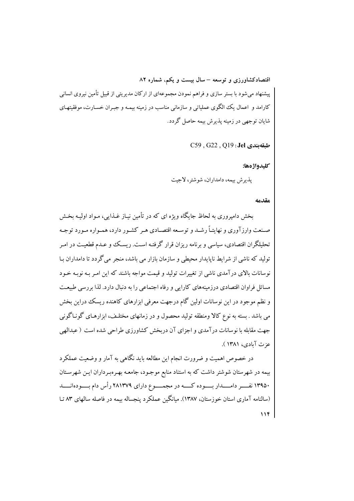اقتصادکشاورزی و توسعه – سال بیست و یکم، شماره ۸۲ پیشنهاد میشود با بستر سازی و فراهم نمودن مجموعهای از ارکان مدیریتی از قبیل تأمین نیروی انسانی کارامد و اعمال یک الگوی عملیاتی و سازمانی مناسب در زمینه بیمـه و جبـران خسـارت، موفقیتهـای شایان توجهی در زمینه پذیرش بیمه حاصل گردد.

 $C59$ ,  $G22$  ,  $Q19$  : Jel طبقهبندى

كليدواژ دها:

يذبرش بيمه، دامداران، شوشتر، لاجت

مقدمه

بخش دامپروري به لحاظ جايگاه ويژه اي كه در تأمين نيـاز غـذايبي، مـواد اوليـه بخـش صنعت وارزآوري و نهايتـاً رشــد و توســعه اقتصــادي هــر كشـور دارد، همــواره مــورد توجــه تحلیلگران اقتصادی، سیاسی و برنامه ریزان قرار گرفتـه اسـت. ریسـک و عـدم قطعیـت در امیر تولید که ناشی از شرایط ناپایدار محیطی و سازمان بازار می باشد، منجر می گردد تا دامداران بـا نوسانات بالای درآمدی ناشی از تغییرات تولید و قیمت مواجه باشند که این امـر بـه نوبـه خـود مسائل فراوان اقتصادی درزمینههای کارایی و رفاه اجتماعی را به دنبال دارد. لذا بررسی طبیعت و نظم موجود در این نوسانات اولین گام درجهت معرفی ابزارهای کاهنده ریسک دراین بخش می باشد . بسته به نوع کالا ومنطقه تولید محصول و در زمانهای مختلـف، ابزارهـای گونـاگونی جهت مقابله با نوسانات درآمدی و اجزای آن دربخش کشاورزی طراحی شده است ( عبدالهی عزت آبادي، ١٣٨١ ).

در خصوص اهمیت و ضرورت انجام این مطالعه باید نگاهی به آمار و وضعیت عملکرد بیمه در شهرستان شوشتر داشت که به استناد منابع موجـود، جامعـه بهـرهبـرداران ایـن شهرسـتان ۱۳۹۵۰ نفـــر دامــــدار بــــوده كــــه در مجمــــوع داراي ۲۸۱۳۷۹ رأس دام بــــودهانــــد (سالنامه آماری استان خوزستان، ۱۳۸۷). میانگین عملکرد پنجساله بیمه در فاصله سالهای ۸۳ تـا  $114$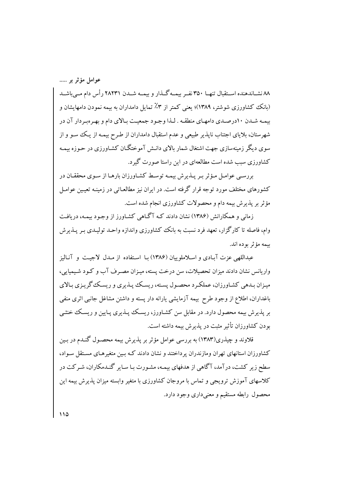عوامل مؤثر بر .....

۸۸ نشـاندهنده اســتقبال تنهـا ۳۵۰ نفـر بيمــه گــذار و بيمــه شــدن ۲۸۲۳۱ رأس دام مــىباشــد (بانک کشاورزی شوشتر، ۱۳۸۹)؛ یعنی کمتر از ۳٪ تمایل دامداران به بیمه نمودن دامهایشان و بیمـه شـدن ۱۰درصـدي دامهـاي منطقـه . لـذا وجـود جمعيـت بـالاي دام و بهـر ه بر دار آن در شهرستان، بلایای اجتناب ناپذیر طبیعی و عدم استقبال دامداران از طـرح بیمـه از یـک سـو و از سوی دیگر زمینهسازی جهت اشتغال شمار بالای دانـش آموختگــان کشــاورزی در حـوزه بیمـه کشاورزی سبب شده است مطالعهای در این راستا صورت گیرد.

بررسی عوامـل مـؤثر بـر پــذیرش بیمــه توسـط کشــاورزان بارهـا از ســوی محققــان در کشورهای مختلف مورد توجه قرار گرفته است. در ایران نیز مطالعـاتی در زمینـه تعیـین عوامـل مؤثر بر پذیرش بیمه دام و محصولات کشاورزی انجام شده است.

زمانی و همکارانش (۱۳۸۶) نشان دادند کـه آگـاهی کشـاورز از وجـود بیمـه، دریافت وام، فاصله تا کارگزار، تعهد فرد نسبت به بانک کشاورزی واندازه واحـد تولیـدی بـر پــذیرش بيمه مؤثر بوده اند.

عبداللهی عزت آبادی و اسلاملوییان (۱۳۸۶) با استفاده از مدل لاجیت و آنالیز واریانس نشان دادند میزان تحصیلات، سن درخت پسته، میزان مصبر ف آب و کـود شـیمیایی، میزان بـدهی کشـاورزان، عملکـرد محصـول پسـته، ریسـک پـذیری و ریسـک گریـزی بـالای باغداران، اطلاع از وجود طرح بیمه آزمایشی یارانه دار پسته و داشتن مشاغل جانبی اثری منفی بر پذیرش بیمه محصول دارد. در مقابل سن کشـاورز، ریسـک پـذیری پـایین و ریسـک خنثـی بودن کشاورزان تأثیر مثبت در پذیرش بیمه داشته است.

قلاوند و چیذری(۱۳۸۳) به بررسی عوامل مؤثر بر پذیرش بیمه محصـول گنـدم در بـین کشاورزان استانهای تهران ومازندران یرداختند و نشان دادند که بـین متغیرهـای مسـتقل سـواد، سطح زیر کشت، درآمد، آگاهی از هدفهای بیمـه، مشـورت بـا سـایر گنـدمکاران، شـر کت در کلاسهای آموزش ترویجی و تماس با مروجان کشاورزی با متغیر وابسته میزان پذیرش بیمه این محصول رابطه مستقيم و معنىداري وجود دارد.

 $\overline{110}$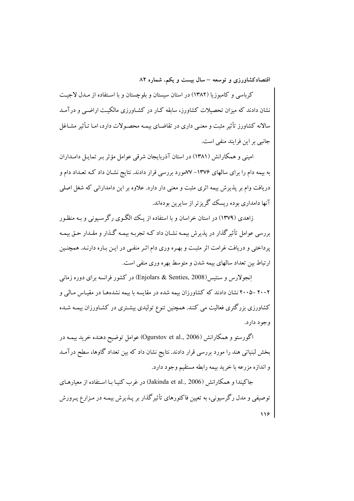کرباسی و کامبوزیا (۱۳۸۲) در استان سیستان و بلوچستان و با استفاده از مـدل لاجیـت نشان دادند که میزان تحصیلات کشاورز، سابقه ک|ر در کشـاورزی مالکـیـت اراضـی و در آمـد سالانه کشاورز تأثیر مثبت و معنبی داری در تقاضـای بیمـه محصـولات دارد، امـا تـأثیر مشـاغل جانبي بر اين فرايند منفي است.

امینے و همکارانش (۱۳۸۱) در استان آذربایجان شرقی عوامل مؤثر بے تمایل دامیداران به بیمه دام را برای سالهای ۱۳۷۶– ۷۷مورد بررسی قرار دادند. نتایج نشـان داد کـه تعـداد دام و دریافت وام بر پذیرش بیمه اثری مثبت و معنی دار دارد. علاوه بر این دامدارانی که شغل اصلی آنها دامداری بوده ریسک گریزتر از سایرین بودهاند.

زاهدی (۱۳۷۹) در استان خراسان و با استفاده از یک الگوی رگرسیونی و به منظور بررسی عوامل تأثیرگذار در پذیرش بیمـه نشـان داد کـه تجربـه بیمـه گـذار و مقـدار حـق بیمـه پرداختی و دریافت غرامت اثر مثبت و بهـره وری دام اثـر منفـی در ایـن بـاره دارنـد. همچنـین ارتباط بین تعداد سالهای بیمه شدن و متوسط بهره وری منفی است.

انجو لارس و سنتیس (Enjolars & Senties, 2008) در کشور فرانسه برای دوره زمانی ۲۰۰۲ –۲۰۰۵ نشان دادند که کشاورزان بیمه شده در مقایسه با بیمه نشدههـا در مقیـاس مـالمی و کشاورزی بزرگتری فعالیت می کنند. همچنین تنوع تولیدی بیشـتری در کشـاورزان بیمـه شـده وجود دارد.

اگورستو و همکارانش (Ogurstov et al., 2006) عوامل توضیح دهنده خرید بیمـه در بخش لبنیاتی هند را مورد بررسی قرار دادند. نتایج نشان داد که بین تعداد گاوها، سطح درآمـد و اندازه مزرعه با خريد بيمه رابطه مستقيم وجود دارد.

جاکیندا و همکارانش (Jakinda et al., 2006) در غرب کنیا با استفاده از معیارهای توصیفی و مدل رگرسیونی، به تعیین فاکتورهای تأثیرگذار بر پــذیرش بیمـه در مـزارع پــرورش  $119$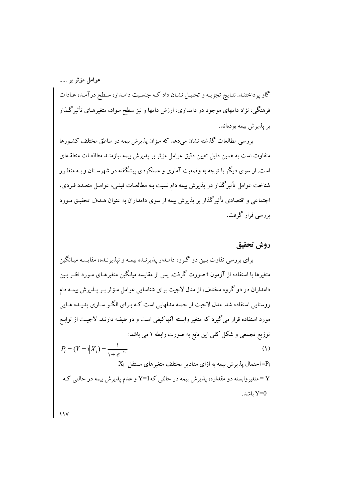گاو پرداختنـد. نتـايج تجزيـه و تحليـل نشـان داد كـه جنسـيت دامـدار، سـطح درآمـد، عـادات فرهنگی، نژاد دامهای موجود در دامداری، ارزش دامها و نیز سطح سواد، متغیرهـای تأثیرگـذار بر پذیرش بیمه بودهاند.

بررسی مطالعات گذشته نشان می دهد که میزان پذیرش بیمه در مناطق مختلف کشـورها متفاوت است به همین دلیل تعیین دقیق عوامل مؤثر بر پذیرش بیمه نیازمنـد مطالعـات منطقـهای است. از سوی دیگر با توجه به وضعیت آماری و عملکردی پیشگفته در شهرسـتان و بـه منظـور شناخت عوامل تأثیرگذار در پذیرش بیمه دام نسبت بـه مطالعـات قبلـی، عوامـل متعـدد فـردی، اجتماعی و اقتصادی تأثیر گذار بر پذیرش بیمه از سوی دامداران به عنوان هـدف تحقیـق مـورد بررسی قرار گرفت.

## روش تحقيق

برای بورسی تفاوت بین دو گروه دامدار پذیرنده بیمه و پذیرنده، مقایسه میانگین  
متغیرها با استفاده از آزمون 1 صورت گرفت. پس از مقایسه میانگین متغیرهای مورد نظر بین  
دامداران در دو گروه مختلف، از مدل لاجیت برای شناسایی عوامل مؤثر بر پدیرش بیمه دام  
مورد استفاده شد. مدل لاحیت از جمله مدلهایی است و دو طبقه دارند. لاجیت از توابع  
مورد استفاده قرار میگیرد که متغیر وابسته آنهاکيفی است و دو طبقه دارند. لاجیت از توابع  
P<sub>i</sub> = (Y = |X<sub>i</sub>) = 
$$
\frac{1}{1 + e^{-z_i}
$$
  
X<sub>i</sub>  
X<sub>i</sub> =  $Y = \frac{1}{1 + e^{-z_i}$   
X<sub>i</sub>  
X<sub>i</sub> =  $Y = \frac{1}{1 + e^{-z_i}}$   
X<sub>i</sub>

 $\sqrt{2}$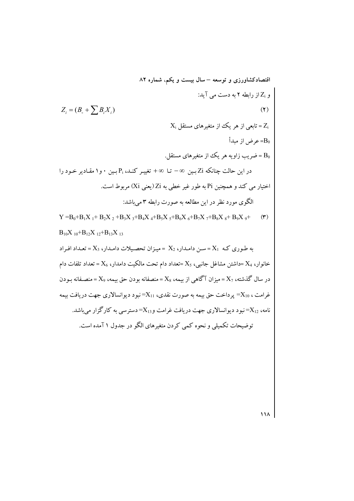اقتها دگناورزی و توسعه – سال بیست و یکم، شمار ۸۲  
\و ہ2 |ز رابطه ۲ به دست می آید:  
\nZ<sub>i</sub> = (B<sub>e</sub> + 
$$
\sum B_i X_i
$$
)  
\nZ<sub>i</sub> = 5  
\nZ<sub>i</sub> = 5  
\nZ<sub>i</sub> = 6  
\nY<sub>i</sub> → 2  
\nZ<sub>i</sub> = 6  
\nY<sub>i</sub> → 2  
\nZ<sub>i</sub> = 6  
\nY<sub>i</sub> → 2  
\nZ<sub>i</sub> → 2  
\nZ<sub>i</sub> → 2  
\nZ<sub>i</sub> → 2  
\nZ<sub>i</sub> → 2  
\nZ<sub>i</sub> → 2  
\nZ<sub>i</sub> → 2  
\nZ<sub>i</sub> → 2  
\nZ<sub>i</sub> → 2  
\nZ<sub>i</sub> → 2  
\nZ<sub>i</sub> → 2  
\nZ<sub>i</sub> → 2  
\nZ<sub>i</sub> → 2  
\nZ<sub>i</sub> → 2  
\nZ<sub>i</sub> → 2  
\nZ<sub>i</sub> → 2  
\nZ<sub>i</sub> → 2  
\nZ<sub>i</sub> → 2  
\nZ<sub>i</sub> → 2  
\nZ<sub>i</sub> → 2  
\nZ<sub>i</sub> → 2  
\nZ<sub>i</sub> → 2  
\nZ<sub>i</sub> → 2  
\nZ<sub>i</sub> → 2  
\nZ<sub>i</sub> → 2  
\nZ<sub>i</sub> → 2  
\nZ<sub>i</sub> → 2  
\nZ<sub>i</sub> → 2  
\nZ<sub>i</sub> → 2  
\nZ<sub>i</sub> → 2  
\nZ<sub>i</sub> → 2  
\nZ<sub>i</sub> → 2  
\nZ<sub>i</sub> → 2  
\nZ<sub>i</sub> → 2  
\nZ<sub>i</sub> → 2  
\nZ<sub>i</sub> → 2  
\nZ<sub>i</sub> → 2  
\nZ<sub>i</sub> → 2  
\nZ<sub>i</sub> → 2  
\nZ<sub>i</sub> → 2  
\nZ<sub>i</sub> → 2  
\nZ<sub>i</sub> → 2  
\nZ<sub>i</sub> → 2  
\nZ<sub>i</sub> → 2  
\nZ<sub>i</sub>

 $\sqrt{2}$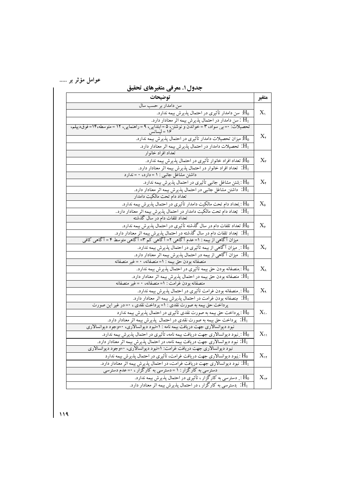#### جدول ١. معرفي متغيرهاي تحقيق

| سن دامدار بر حسب سال<br>سن دامدار تأثیری در احتمال پذیرش بیمه ندارد. $\rm H_{0}$<br>$X_{\mathcal{N}}$<br>سن دامدار در احتمال پذیرش بیمه اثر معنادار دارد. $\mathrm{H}_1$<br>تحصيلات: •= بي سواد، ٣ = خواندن و نوشتن، ٥ = ابتدايي، ٩ = راهنمايي، ١٢ = متوسطه،١٤ = فوقدييلم،<br>۱۶ = ليسانس<br>$X_{\mathsf{r}}$<br>. میزان تحصیلات دامدار تأثیری در احتمال پذیرش بیمه ندارد. $\rm H_0$<br>. تحصیلات دامدار در احتمال پذیرش بیمه اثر معنادار دارد. $\mathrm{H}_1$<br>تعداد افراد خانوار |
|--------------------------------------------------------------------------------------------------------------------------------------------------------------------------------------------------------------------------------------------------------------------------------------------------------------------------------------------------------------------------------------------------------------------------------------------------------------------------------------|
|                                                                                                                                                                                                                                                                                                                                                                                                                                                                                      |
|                                                                                                                                                                                                                                                                                                                                                                                                                                                                                      |
|                                                                                                                                                                                                                                                                                                                                                                                                                                                                                      |
|                                                                                                                                                                                                                                                                                                                                                                                                                                                                                      |
|                                                                                                                                                                                                                                                                                                                                                                                                                                                                                      |
|                                                                                                                                                                                                                                                                                                                                                                                                                                                                                      |
|                                                                                                                                                                                                                                                                                                                                                                                                                                                                                      |
| : تعداد افراد خانوار تأثيري در احتمال پذيرش بيمه ندارد. $\mathrm{H}_0$<br>$X_{r}$                                                                                                                                                                                                                                                                                                                                                                                                    |
| تعداد افراد خانوار در احتمال پذیرش بیمه اثر معنادار دارد. $\mathrm{H}_1$                                                                                                                                                                                                                                                                                                                                                                                                             |
| داشتن مشاغل جانبي : ١ = دارد، ٠ = ندارد                                                                                                                                                                                                                                                                                                                                                                                                                                              |
| : بشتن مشاغل جانبی تأثیری در احتمال پذیرش بیمه ندارد. $\mathrm{H}_0$<br>$X_{\epsilon}$                                                                                                                                                                                                                                                                                                                                                                                               |
| داشتن مشاغل جانبی در احتمال پذیرش بیمه اثر معنادار دارد. $\mathrm{H}_1$                                                                                                                                                                                                                                                                                                                                                                                                              |
| تعداد دام تحت مالکیت دامدار                                                                                                                                                                                                                                                                                                                                                                                                                                                          |
| $X_{\wedge}$<br>: تعداد دام تحت مالکیت دامدار تأثیری در احتمال پذیرش بیمه ندارد. $\mathrm{H}_0$                                                                                                                                                                                                                                                                                                                                                                                      |
| . تبعداد دام تحت مالکیت دامدار در احتمال پذیرش بیمه اثر معنادار دارد. $\mathrm{H}_1$                                                                                                                                                                                                                                                                                                                                                                                                 |
| تعداد تلفات دام در سال گذشته                                                                                                                                                                                                                                                                                                                                                                                                                                                         |
| : تعداد تلفات دام در سال گذشته تأثیری در احتمال پذیرش بیمه ندارد. $\rm H_0$<br>$X_{\epsilon}$                                                                                                                                                                                                                                                                                                                                                                                        |
| تبعداد تلفات دام در سال گذشته در احتمال پذیرش بیمه اثر معنادار دارد. $\overline{\mathrm{H}}_{1}$                                                                                                                                                                                                                                                                                                                                                                                     |
| میزان آگاهی از بیمه : ۱= عدم آگاهی ۲= آگاهی کم ۳= آگاهی متوسط ۴ = آگاهی کافی                                                                                                                                                                                                                                                                                                                                                                                                         |
| ب میزان آگاهی از بیمه تأثیری در احتمال پذیرش بیمه ندارد. $\mathrm{H}_0$<br>$X_{v}$                                                                                                                                                                                                                                                                                                                                                                                                   |
| . میزان آگاهی از بیمه در احتمال پذیرش بیمه اثر معنادار دارد. $\mathrm{H}_1$                                                                                                                                                                                                                                                                                                                                                                                                          |
| منصفانه بودن حق بيمه : ١= منصفانه، • = غير منصفانه                                                                                                                                                                                                                                                                                                                                                                                                                                   |
| $X_{\lambda}$<br>: بمنصفانه بودن حق بیمه تأثیری در احتمال پذیرش بیمه ندارد. $\mathrm{H}_0$                                                                                                                                                                                                                                                                                                                                                                                           |
| . منصفانه بودن حق بیمه در احتمال پذیرش بیمه اثر معنادار دارد. $\mathrm{H}_1$                                                                                                                                                                                                                                                                                                                                                                                                         |
| منصفانه بودن غرامت : ١= منصفانه، • = غير منصفانه                                                                                                                                                                                                                                                                                                                                                                                                                                     |
| . منصفانه بودن غرامت تأثيري در احتمال پذيرش بيمه ندارد. $\mathrm{H}_0$<br>$X_{\mathbf{Q}}$                                                                                                                                                                                                                                                                                                                                                                                           |
| . منصفانه بودن غرامت در احتمال پذیرش بیمه اثر معنادار دارد. $\mathrm{H}_1$                                                                                                                                                                                                                                                                                                                                                                                                           |
| پرداخت حق بیمه به صورت نقدی : ۱= پرداخت نقدی ، ۰= در غیر این صورت                                                                                                                                                                                                                                                                                                                                                                                                                    |
| $X_{\cdot}$<br>پرداخت حق بیمه به صورت نقدی تأثیری در احتمال پذیرش بیمه ندارد : $\mathrm{H}_0$                                                                                                                                                                                                                                                                                                                                                                                        |
| H1:  پرداخت حق بیمه به صورت نقدی در احتمال پذیرش بیمه اثر معنادار دارد.                                                                                                                                                                                                                                                                                                                                                                                                              |
| نبود دیوانسالاری جهت دریافت بیمه نامه : ۱=نبود دیوانسالاری، ۰=وجود دیوانسالاری                                                                                                                                                                                                                                                                                                                                                                                                       |
| : نبود دیوانسالاری جهت دریافت بیمه نامه، تأثیری در احتمال پذیرش بیمه ندارد. $\mathrm{H}_0$<br>$X_{\mathcal{U}}$                                                                                                                                                                                                                                                                                                                                                                      |
| نبود دیوانسالاری جهت دریافت بیمه نامه، در احتمال پذیرش بیمه اثر معنادار دارد. : $\mathrm{H}_1$                                                                                                                                                                                                                                                                                                                                                                                       |
| نبود دیوانسالاری جهت دریافت غرامت: ۱=نبود دیوانسالاری، ۰=وجود دیوانسالاری                                                                                                                                                                                                                                                                                                                                                                                                            |
| نبود دیوانسالاری جهت دریافت غرامت، تأثیری در احتمال پذیرش بیمه ندارد: $\mathrm{H}_0$<br>$X_{11}$                                                                                                                                                                                                                                                                                                                                                                                     |
| نبود دیوانسالاری جهت دریافت غرامت، در احتمال پذیرش بیمه اثر معنادار دارد. $\mathrm{H}_1$                                                                                                                                                                                                                                                                                                                                                                                             |
| دسترسی به کار گزار : ۱ = دسترسی به کار گزار ، ۰= عدم دسترسی                                                                                                                                                                                                                                                                                                                                                                                                                          |
| $X_{\mathcal{Y}}$<br>. دسترسی به کارگزار ، تأثیری در احتمال پذیرش بیمه ندارد. $\mathrm{H}_0$                                                                                                                                                                                                                                                                                                                                                                                         |
| H1:   دسترسی به کارگزار ، در احتمال پذیرش بیمه اثر معنادار دارد.                                                                                                                                                                                                                                                                                                                                                                                                                     |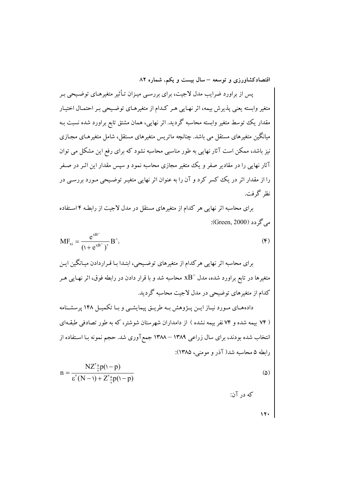پس از براورد ضرایب مدل لاجیت، برای بررسی میـزان تـأثیر متغیرهـای توضـیحی بـر متغیر وابسته یعنی پذیرش بیمه، اثر نهـایی هـر کـدام از متغیرهـای توضـیحی بـر احتمـال اختیـار مقدار یک توسط متغیر وابسته محاسبه گردید. اثر نهایی، همان مشتق تابع براورد شده نسبت بـه میانگین متغیرهای مستقل می باشد. چنانچه ماتریس متغیرهای مستقل، شامل متغیرهـای مجـازی نیز باشد، ممکن است آثار نهایی به طور مناسبی محاسبه نشود که برای رفع این مشکل می توان آثار نهای<sub>ی</sub> را در مقادیر صفر و یک متغیر مجازی محاسبه نمود و سپس مقدار این اثـر در صـفر را از مقدار اثر در یک کسر کرد و آن را به عنوان اثر نهایی متغیـر توضـیحی مـورد بررسـی در نظر گرفت.

برای محاسبه اثر نهایی هر کدام از متغیرهای مستقل در مدل لاجیت از رابطه ۴ استفاده مي گر دد (Green, 2000):

$$
MF_{xi} = \frac{e^{xB^{\wedge}}}{\left(1 + e^{xB^{\wedge}}\right)^{\gamma}} B^{\wedge}.
$$
 (F)

برای محاسبه اثر نهایی هر کدام از متغیرهای توضیحی، ابتـدا بـا قـراردادن میـانگین ایـن متغیرها در تابع براورد شده، مدل ^xB محاسبه شد و با قرار دادن در رابطه فوق، اثر نهـایـ هـر کدام از متغیرهای توضیحی در مدل لاجیت محاسبه گردید.

دادههای مـورد نیـاز ایـن پــژوهش بـه طریــق پیمایشــی و بــا تکمیــل ۱۴۸ پرسشـنامه ( ۷۴ بیمه شده و ۷۴ نفر بیمه نشده ) از دامداران شهرستان شوشتر، که به طور تصادفی طبقـهای انتخاب شده بودند، برای سال زراعی ۱۳۸۹ – ۱۳۸۸ جمع آوری شد. حجم نمونه بـا اسـتفاده از رابطه ۵ محاسبه شد( آذر و مومنی، ۱۳۸۵):

$$
n = \frac{NZ^{\tau} \frac{a}{\tau} p(1-p)}{\epsilon^{\tau} (N-1) + Z^{\tau} \frac{a}{\tau} p(1-p)}
$$
(a)

 $\mathbf{y}$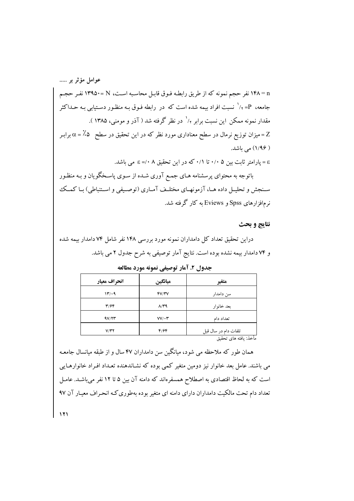عوامل مؤثر بر ….. n = ۱۴۸ نفر حجم نمونه که از طریق رابطـه فـوق قابـل محاسـبه اسـت، N = ۱۳۹۵۰ نفـر حجـم جامعه، P= <sub>۷</sub>/ نسبت افراد بیمه شده است که در رابطه فـوق بـه منظـور دسـتیابی بـه حـداکثر مقدار نمونه ممکن این نسبت برابر ۱٫ در نظر گرفته شد ( آذر و مومنی، ۱۳۸۵ ). سیزان توزیع نرمال در سطح معناداری مورد نظر که در این تحقیق در سطح  $\alpha = \lambda$  برابـر = Z ( ۱/۹۶) می باشد. ε = پارامتر ثابت بین ۰/۰۵ تا ۰/۱ که در این تحقیق ۸ ۰/= ε می باشد. باتوجه به محتوای پرسشنامه هـای جمـع آوری شـده از سـوی پاسـخگویان و بـه منظـور سـنجش و تحليـل داده هـا، آزمونهـاي مختلـف آمـاري (توصـيفي و اسـتنباطي) بـا كمـك نرمافزارهای Spss و Eviews به کار گرفته شد.

#### نتايج و بحث

دراین تحقیق تعداد کل دامداران نمونه مورد بررسی ۱۴۸ نفر شامل ۷۴ دامدار بیمه شده و ۷۴ دامدار بیمه نشده بوده است. نتایج آمار توصیفی به شرح جدول ۲ می باشد.

| انحراف معيار | ميانگين              | متغير                 |
|--------------|----------------------|-----------------------|
| 14/19        | fV/YV                | سن دامدار             |
| 39/7         | $\Lambda/\Upsilon$ ۹ | بعد خانوار            |
| 4V/Y         | $VV/\cdot V$         | تعداد دام             |
| V/YY         | f/ff                 | تلفات دام در سال قبل  |
|              |                      | مأخذ: يافته هاى تحقيق |

جدول ٢. آمار توصيفي نمونه مورد مطالعه

همان طور که ملاحظه می شود، میانگین سن دامداران ۴۷ سال و از طبقه میانسال جامعـه می باشند. عامل بعد خانوار نیز دومین متغیر کمی بوده که نشـاندهنده تعـداد افـراد خانوارهـایی است که به لحاظ اقتصادی به اصطلاح همسفرهاند که دامنه آن بین ۵ تا ۱۲ نفر میباشـد. عامـل تعداد دام تحت مالکیت دامداران دارای دامنه ای متغیر بوده بهطوری کـه انحـراف معیـار آن ۹۷

 $151$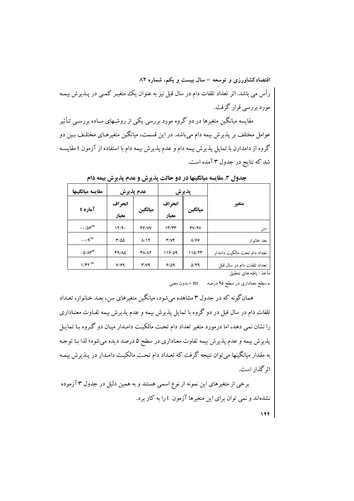اقتصادکشاورزی و توسعه – سال بیست و یکم، شماره ۸۲ رأس می باشد. اثر تعداد تلفات دام در سال قبل نیز به عنوان یک متغیـر کمـی در پــذیرش بیمـه مورد بررسی قرار گرفت.

مقایسه میانگین متغیرها در دو گروه مورد بررسی یکی از روشـهای سـاده بررسـی تـأثیر عوامل مختلف بر پذیرش بیمه دام میباشد. در این قسمت، میانگین متغیرهـای مختلـف بـین دو گروه از دامدارن با تمایل پذیرش بیمه دام و عدم پذیرش بیمه دام با استفاده از آزمون t مقایسـه شد که نتایج در جدول ۳ آمده است.

| مقايسه ميانگينها       | عدم پذیرش        |                     | پذيرش           |              |                                                    |
|------------------------|------------------|---------------------|-----------------|--------------|----------------------------------------------------|
| آماره t                | انحراف<br>معيار  | ميانگين             | انحراف<br>معيار | ميانگين      | متغير                                              |
| $-105^{\circ}$         | 17/9.            | F/VV                | ۱۳/۳۳           | fV/9V        | سن                                                 |
| $-4$ /9 <sup>ns</sup>  | $T/\Delta\Delta$ | $\lambda/\gamma$    | T/VF            | A/F9         | ىعد خانوار                                         |
| $-\Delta/\Lambda^{+*}$ | 49/10            | <b><i>TA/AY</i></b> | 118/09          | 110/77       | تعداد دام تحت مالكيت دامدار                        |
| $1/FY$ <sup>ns</sup>   | V/F9             | $T/Y$ ۹             | 9/09            | $\Delta$ /۴۹ | تعداد تلفات دام در سال قبل<br>a masa masa sa badan |

جدول ٣. مقايسه ميانگينها در دو حالت پذيرش و عدم پذيرش بيمه دام

بأخذ : بافته هاي تحقيق

\* سطح معناداری در سطح ۹۵ درصد lis = بدون معنی

همانگونه که در جدول ۳ مشاهده می شود، میانگین متغیرهای سن، بعـد خـانوار، تعـداد تلفات دام در سال قبل در دو گروه با تمایل پذیرش بیمه و عدم پذیرش بیمه تفـاوت معنـاداری را نشان نمی دهد، اما درمورد متغیر تعداد دام تحت مالکیت دامـدار میـان دو گـروه بـا تمایـل پذیرش بیمه و عدم پذیرش بیمه تفاوت معناداری در سطح ۵ درصد دیده میشود؛ لذا بـا توجـه به مقدار میانگینها می توان نتیجه گرفت که تعـداد دام تحـت مالکیـت دامـدار در پـذیرش بیمـه اثر گذار است.

برخی از متغیرهای این نمونه از نوع اسمی هستند و به همین دلیل در جدول ۳ آزموده نشدهاند و نمی توان برای این متغیرها آزمون t را به کار برد.

 $\sqrt{11}$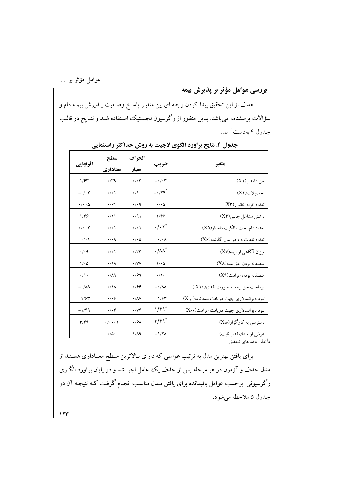## بررسی عوامل مؤثر بر پذیرش بیمه

هدف از این تحقیق پیدا کردن رابطه ای بین متغیـر پاسـخ وضـعیت پـذیرش بیمـه دام و سؤالات پرسشنامه میباشد. بدین منظور از رگرسیون لجسـتیک اسـتفاده شـد و نتـایج در قالـب جدول ۴ به دست آمد.

| ⊶ت                         |                           |                           |                            | <b>ين بر د۔</b><br>--                                   |
|----------------------------|---------------------------|---------------------------|----------------------------|---------------------------------------------------------|
| اثرنهایی                   | سطح<br>معناداري           | انحراف<br>معيار           | ضر يب                      | متغير                                                   |
| ۱۱۶۳                       | $\cdot$ /۳۹               | $\cdot$ / $\cdot$ ۳       | $-\cdot/\cdot \tau$        | سن دامدار(X۱)                                           |
| $-\cdot$ / $\cdot$ $\cdot$ | ۰/۰۱                      | ۰/۱۰                      | $-1$                       | تحصيلات(X۲)                                             |
| $\cdot/\cdot\cdot \Delta$  | $\cdot$ /61               | $\cdot$ / $\cdot$ 9       | $\cdot$ / $\cdot$ $\Delta$ | تعداد افراد خانوار(X۳)                                  |
| 1/۴۶                       | ۰/۱۱                      | $\cdot$ /9)               | ۱۱۴۶                       | داشتن مشاغل جانبی(X۴)                                   |
| $\cdot/\cdot\cdot$ Y       | ۰/۰۱                      | $\cdot/\cdot$ )           | $\cdot/\cdot$ \reflation ( | تعداد دام تحت مالکیت دامدار(X۵)                         |
| $-\cdot/\cdot$ )           | $\cdot$ / $\cdot$ 9       | ۰/۰۵                      | $-\cdot/\cdot \Lambda$     | تعداد تلفات دام در سال گذشته(X۶)                        |
| $\cdot$ / $\cdot$ 9        | $\cdot/\cdot$ \           | ۰/۳۳                      | $\cdot/\lambda\lambda^*$   | میزان آگاهی از بیمه(XV)                                 |
| $1/\cdot 0$                | ۰/۱۸                      | $\cdot$ /VV               | $1/\cdot 0$                | منصفانه بودن حق بيمه(X۸)                                |
| $\cdot/\prime\cdot$        | ۰/۸۹                      | .799                      | $\cdot/\prime$             | منصفانه بودن غرامت(X۹)                                  |
| $-\cdot/\lambda\lambda$    | ۰/۱۸                      | ۰۱۶۶                      | $-\cdot/\lambda\lambda$    | پرداخت حق بیمه به صورت نقدی(X۱۰)                        |
| $-1/5$                     | $\cdot$ / $\cdot$ 6       | $\cdot$ / $\wedge$ $\vee$ | $-1/5r$                    | نبود دیوانسالاری جهت دریافت بیمه نامه(X <sub>۱۱</sub> ) |
| $-1/F9$                    | ۰/۰۴                      | $\cdot$ / $\vee \circ$    | $1/F9$ *                   | نبود دیوانسالاری جهت دریافت غرامت(X۱۲)                  |
| T/F9                       | $\cdot/\cdot\cdot\cdot$ ) | $\cdot$ /9 $\wedge$       | $\mathbf{r}/\mathbf{r}$ 9* | $(X_{\mathfrak{h}^{\mathfrak{p}}})$ دسترسی به کارگزار   |
|                            | $\cdot/\Delta$            | 1/19                      | $-1/7\Lambda$              | <u>عرض از مبدا(مق</u> دار ثابت)                         |

جدول ۴. نتایج براورد الگوی لاجیت به روش حداکثر راستنمایی

مأخذ : يافته هاى تحقيق

برای یافتن بهترین مدل به ترتیب عواملی که دارای بـالاترین سـطح معنـاداری هسـتند از مدل حذف و آزمون در هر مرحله پس از حذف یک عامل اجرا شد و در پایان براورد الگـوی رگرسیونی برحسب عوامل باقیمانده برای یافتن مـدل مناسـب انجـام گرفـت کـه نتیجـه آن در جدول ۵ ملاحظه مي شود.

 $177$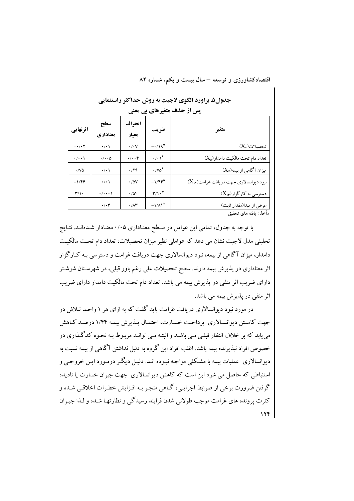| پس از حذف متغیرهای بی معنی |                           |                             |                            |                                              |  |
|----------------------------|---------------------------|-----------------------------|----------------------------|----------------------------------------------|--|
| اثرنهایی                   | سطح<br>معناداري           | انحراف<br>معيار             | ضريب                       | متغير                                        |  |
| $- \cdot / \cdot 7$        | $\cdot/\cdot$ )           | $\cdot$ / $\cdot$ $\vee$    | $-\cdot/9^*$               | $(X_{\mathsf{r}})$ تحصيلات                   |  |
| $\cdot/\cdot\cdot$         | $\cdot/\cdot\cdot \Delta$ | $\cdot/\cdot\cdot f$        | $\cdot/\cdot$ \*           | $(X_{\delta})$ تعداد دام تحت مالکیت دامدار   |  |
| $\cdot$ /VQ                | $\cdot$ / $\cdot$         | .79                         | $\cdot$ / $\vee \circ$ *   | $(X_v)$ میزان آگاهی از بیمه                  |  |
| $-1/FF$                    | $\cdot$ / $\cdot$         | $\cdot$ / $\Delta V$        | $-1/FF^*$                  | $(X_{17})$ نبود دیوانسالاری جهت دریافت غرامت |  |
| $\mathbf{r}/\mathbf{v}$    | $\cdot/\cdot\cdot\cdot$   | .788                        | $\mathbf{r}/\mathbf{v}$ .* | $(X_{\mathfrak{h}^*})$ دسترسی به کارگزار     |  |
|                            | $\cdot$ / $\cdot$ ۳       | $\cdot$ / $\wedge\breve{r}$ | $-1/\lambda$ <sup>*</sup>  | عرض از مبدا(مقدار ثابت)                      |  |
| مأخذ : يافته هاى تحقيق     |                           |                             |                            |                                              |  |

جدول۵. براورد الگوی لاجیت به روش حداکثر راستنمایی

با توجه به جدول، تمامی این عوامل در سطح معنـاداری ۰/۰۵ معنـادار شـدهانـد. نتـایج تحلیلی مدل لاجیت نشان می دهد که عواملی نظیر میزان تحصیلات، تعداد دام تحت مالکیت دامدار، میزان آگاهی از بیمه، نبود دیوانسالاری جهت دریافت غرامت و دسترسی بـه کـارگزار اثر معناداری در پذیرش بیمه دارند. سطح تحصیلات علی رغم باور قبلی، در شهرسـتان شوشـتر دارای ضریب اثر منفی در پذیرش بیمه می باشد. تعداد دام تحت مالکیت دامدار دارای ضریب اثر منفی در پذیرش بیمه می باشد.

در مورد نبود دیوانسالاری دریافت غرامت باید گفت که به ازای هر ۱ واحـد تـلاش در جهت كاستن ديوانسالاري پرداخت خسارت، احتمال يـذيرش بيمـه ١/۴۴ درصـد كـاهش می یابد که بر خلاف انتظار قبلبی مبی باشـد و البتـه مـی توانـد مربـوط بـه نحـوه کدگـذاری در خصوص افراد نیذیرنده بیمه باشد. اغلب افراد این گروه به دلیل نداشتن آگاهی از بیمه نسبت به دیوانسالاری عملیات پیمه با مشکلی مواجه نیوده انید. دلیل دیگیر درمیورد این خروجی و استنباطی که حاصل می شود این است که کاهش دیوانسالاری جهت جبران خسارت یا نادیده گرفتن ضرورت برخی از ضوابط اجرایبی، گـاهی منجـر بـه افـزایش خطـرات اخلاقـی شـده و کثرت پرونده های غرامت موجب طولانی شدن فرایند رسیدگی و نظارتها شـده و لـذا جبـران  $156$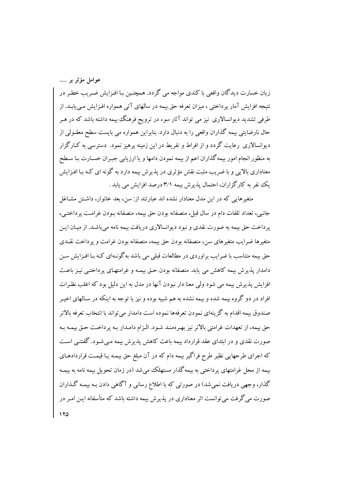زيان خسارت ديدگان واقعي با كندي مواجه مي گردد. همچنـين بـا افـزايش ضـريب خطـر در نتیجه افزایش آمار پرداختی ، میزان تعرفه حق بیمه در سالهای آتی همواره افـزایش مـی پابـد. از طرفي تشديد ديوانسالاري نيز مي تواند آثار سوء در ترويج فرهنگ بيمه داشته باشد كه در هـر حال نارضایتی بیمه گذاران واقعی را به دنبال دارد. بنابراین همواره می بایست سطح معقـولی از دیوانسالاری رعایت گردد و از افراط و تفریط در این زمینه پرهیز نمود. دسترسی به کـارگزار به منظور انجام امور بیمه گذاران اعم از بیمه نمودن دامها و یا ارزیابی جبـران خسـارت بـا سـطح معناداری بالایی و با ضریب مثبت نقش مؤثری در پذیرش بیمه دارد به گونه ای کـه بـا افـزایش یک نفر به کارگزاران، احتمال پذیرش بیمه ۳/۱ درصد افزایش می یابد .

متغیرهایی که در این مدل معنادار نشده اند عبارتند از: سن، بعد خانوار، داشتن مشاغل جانبي، تعداد تلفات دام در سال قبل، منصفانه بو دن حق بيمه، منصفانه بو دن غرامت پر داختے، یر داخت حق بیمه به صورت نقدی و نبود دیوانسالاری دریافت بیمه نامه می باشـد. از میـان ایـن متغیرها ضرایب متغیرهای سن، منصفانه بودن حق بیمه، منصفانه بودن غرامت و پرداخت نقبدی حق بیمه متناسب با ضرایب براوردی در مطالعات قبلی می باشد به گونـهای کـه بـا افـزایش سـن دامدار پذیرش بیمه کاهش می پاید. منصفانه بودن حتی بیمیه و غرامتهای پرداختبی نینز باعث افزايش پذيرش بيمه مي شود ولي معنا دار نبودن آنها در مدل به اين دليل بود كه اغلب نظـرات افراد در دو گروه بیمه شده و بیمه نشده به هم شبیه بوده و نیز با توجه به اینکه در سـالهای اخیـر صندوق بيمه اقدام به گز ينهاي نمودن تعرفهها نموده است دامدار مي تواند با انتخاب تعرفه بالاتر حق بيمه، از تعهدات غرامتي بالاتر نيز بهـرهمنـد شـود. الـزام دامـدار بـه پرداخـت حـق بيمـه بـه صورت نقدی و در ابتدای عقد قرارداد بیمه باعث کاهش پذیرش بیمه مبی شـود. گفتنـبی اسـت که اجرای طرحهایی نظیر طرح فراگیر بیمه دام که در آن مبلغ حق بیمـه یـا قیمـت قراردادهـای بیمه از محل غرامتهای پرداختی به بیمه گذار مستهلک می شد (در زمان تحویل بیمه نامه به بیمـه گذار، وجهی دریافت نمیشد) در صورتی که با اطلاع رسانی و آگاهی دادن بـه بیمـه گـذاران صورت می گرفت می توانست اثر معناداری در پذیرش بیمه داشته باشد که متأسفانه ایـن امـر در  $170$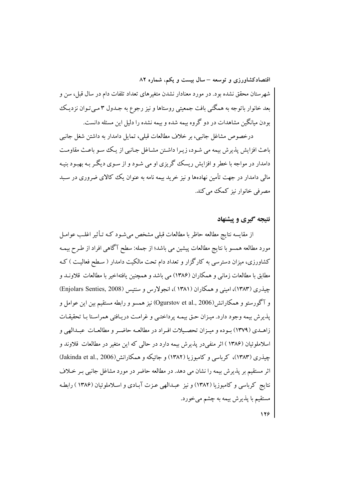شهرستان محقق نشده بود. در مورد معنادار نشدن متغیرهای تعداد تلفات دام در سال قبل، سن و بعد خانوار باتوجه به همگنی بافت جمعیتی روستاها و نیز رجوع به جـدول ۳ مـیتـوان نزدیـک بودن میانگین مشاهدات در دو گروه بیمه شده و بیمه نشده را دلیل این مسئله دانست.

درخصوص مشاغل جانبی، بر خلاف مطالعات قبلی، تمایل دامدار به داشتن شغل جانبی باعث افزایش پذیرش بیمه می شـود، زیـرا داشـتن مشـاغل جـانبی از یـک سو باعـث مقاومـت دامدار در مواجه با خطر و افزایش ریسک گریزی او می شـود و از سـوی دیگـر بـه بهبـود بنیـه مالی دامدار در جهت تأمین نهادهها و نیز خرید بیمه نامه به عنوان یک کالای ضروری در سـبد مصرفی خانوار نیز کمک می کند.

## نتبجه گیری و پیشنهاد

از مقايسه نتايج مطالعه حاظر با مطالعات قبلي مشخص مي شـود كـه تـأثير اغلـب عوامـل مورد مطالعه همسو با نتايج مطالعات پيشين مي باشد؛ از جمله: سطح آگاهي افراد از طـرح بيمـه کشاورزی، میزان دسترسی به کارگزار و تعداد دام تحت مالکیت دامدار ( سـطح فعالیـت ) کـه مطابق با مطالعات زمانی و همکاران (۱۳۸۶) می باشد و همچنین یافتهاخیر با مطالعات قلاونـد و چیذری (۱۳۸۳)، امینی و همکاران (۱۳۸۱)، انجولارس و سنتیس (Enjolars Senties, 2008) و آگورستو و همکارانش(Ogurstov et al., 2006) نیز همسو و رابطه مستقیم بین این عوامل و يذيرش بيمه وجود دارد. ميـزان حـق بيمـه پرداختـي و غرامـت دريـافتي همراسـتا بـا تحقيقـات زاهـدي (١٣٧٩) بـوده و ميـزان تحصـيلات افـراد در مطالعـه حاضـر و مطالعـات عبـدالهي و اسلاملوئیان (۱۳۸۶) اثر منفی در پذیرش بیمه دارد در حالی که این متغیر در مطالعات قلاوند و چیذری (۱۳۸۳)، کرباسی و کامبوزیا (۱۳۸۲) و جائیکه و همکارانش(Jakinda et al., 2006) اثر مستقیم بر پذیرش بیمه را نشان می دهد. در مطالعه حاضر در مورد مشاغل جانبی بـر خـلاف نتايج كرباسي و كامبوزيا (١٣٨٢) و نيز عبـدالهي عـزت آبـادي و اسـلاملوئيان (١٣٨۶ ) رابطـه مستقیم با پذیرش بیمه به چشم میخورد. 178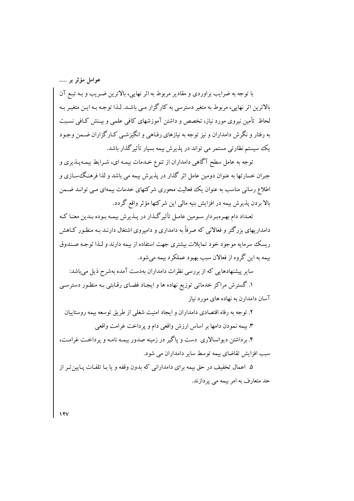عوامل مؤثر بر .....

با توجه به ضرایب براوردی و مقادیر مربوط به اثر نهایی، بالاترین ضریب و بـه تبـع آن بالاترین اثر نهایی، مربوط به متغیر دسترسی به کارگزار مبی باشـد. لـذا توجـه بـه ایـن متغیـر بـه لحاظ تأمین نیروی مورد نیاز، تخصص و داشتن آموزشهای کافی علمی و بیـنش کـافی نسـبت به رفتار و نگرش دامداران و نیز توجه به نیازهای رفـاهی و انگیزشـی کـارگزاران ضـمن وجـود یک سیستم نظارتی مستمر می تواند در پذیرش بیمه بسیار تأثیر گذار باشد.

توجه به عامل سطح آگاهی دامداران از تنوع خـدمات بیمـه ای، شـرایط بیمـهپـذیری و جبران خسارتها به عنوان دومین عامل اثر گذار در پذیرش بیمه می باشد و لذا فرهنگ سازی و اطلاع رسانی مناسب به عنوان یک فعالیت محوری شرکتهای خدمات بیمهای مـی توانـد ضـمن بالا بردن پذیرش بیمه در افزایش بنیه مالی این شرکتها مؤثر واقع گردد.

تعـداد دام بهـرهبـردار سـومين عامـل تأثيرگـذار در پـذيرش بيمـه بـوده بـدين معنـا كـه دامداریهای بزرگتر و فعالانی که صرفاً به دامداری و دامیروی اشتغال دارنـد بـه منظـور کـاهش ریسک سرمایه موجود خود تمایلات بیشتری جهت استفاده از بیمه دارند و لـذا توجـه صـندوق بيمه به اين گروه از فعالان سبب بهبود عملكرد بيمه مي شود.

سایر پیشنهادهایی که از بررسی نظرات دامداران بهدست آمده بهشرح ذیل میباشد:

۱. گسترش مراکز خدماتی توزیع نهاده ها و ایجـاد فضـای رقـابتی بـه منظـور دسترسـی آسان دامدارن به نهاده های مورد نیاز

۲. توجه به رفاه اقتصادي دامداران و ايجاد امنيت شغلبي از طريق توسعه بيمه روستاييان ٣. بيمه نمودن دامها بر اساس ارزش واقعي دام و يرداخت غرامت واقعي

۴. برداشتن دیوانسالاری دست و پاگیر در زمینه صدور بیمـه نامـه و پرداخـت غرامـت، سبب افزايش تقاضاي بيمه توسط ساير دامداران مي شود.

۵. اعمال تخفیف در حق بیمه برای دامدارانی که بدون وقفه و یا بـا تلفـات پـایین تـر از حد متعارف به امر بيمه مي يردازند.

 $\sqrt{V}$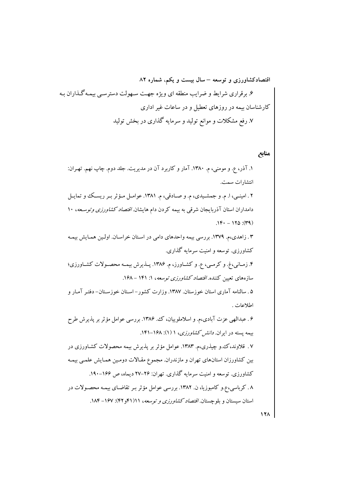منابع

**1 TA** 

۱. آذر، ع. و مومنی، م. ۱۳۸۰. آمار و کاربرد آن در مدیریت. جلد دوم. چاپ نهم. تهـران: انتشارات سمت. ۲ . امینـی، ا. م. و جمشـیدي، م. و صـادقي، م. ۱۳۸۱. عوامـل مـؤثر بـر ریسـک و تمایـل دامداران استان آذربایجان شرقی به بیمه کردن دام هایشان *اقتصاد کشاورزی و توس*عه، ۱۰  $.1F - 1Y\Delta$ : (۳۹) ۳. زاهدي،م. ١٣٧٩. بررسي بيمه واحدهاي دامي در استان خراسان. اولين همايش بيمه کشاورزی. توسعه و امنیت سرمایه گذاری. ۴. زمـاني،غ. و كرمـي، ع. و كشـاورز، م. ۱۳۸۶. پــذيرش بيمــه محصـولات كشـاورزي؛ سازههای تعیین کننده. *اقتصاد کشاورزی توسعه*، ۱: ۱۴۱ - ۱۶۸. ۵. سالنامه آماری استان خوزستان. ۱۳۸۷. وزارت کشور –اسـتان خوزسـتان- دفتـر آمـار و اطلاعات . ۶. عبدالهی عزت آبادی،م. و اسلاملوییان، ک. ۱۳۸۶. بررسی عوامل مؤثر بر پذیرش طرح بیمه پسته در ایران. *دانش کشاورزی، ۱ (۱): ۱۴۸–۱*۴۱. ۷. قلاوند،ک،و چیذری،م. ۱۳۸۳. عوامل مؤثر بر پذیرش بیمه محصولات کشاورزی در بین کشاورزان استانهای تهران و مازندران. مجموع مقـالات دومـین همـایش علمـی بیمـه کشاورزی. توسعه و امنیت سرمایه گذاری. تهران: ۲۶–۲۷ دیماه، ص ۱۶۶–۱۹۰. ۸. کرپاسی،ع.و کامبوزیا، ن. ۱۳۸۲. بررسی عوامل مؤثر پیر تقاضیای بیمیه محصبولات در استان سیستان و بلوچستان *. اقتصاد کشاورزی و توسعه*، ۱۱(۴۱و۴۲): ۱۸۴–۱۸۴.